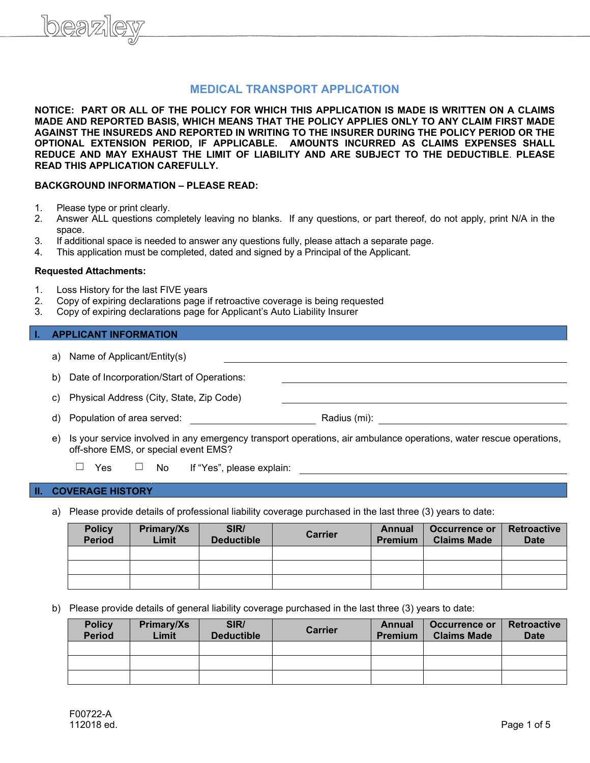# **MEDICAL TRANSPORT APPLICATION**

**NOTICE: PART OR ALL OF THE POLICY FOR WHICH THIS APPLICATION IS MADE IS WRITTEN ON A CLAIMS MADE AND REPORTED BASIS, WHICH MEANS THAT THE POLICY APPLIES ONLY TO ANY CLAIM FIRST MADE AGAINST THE INSUREDS AND REPORTED IN WRITING TO THE INSURER DURING THE POLICY PERIOD OR THE OPTIONAL EXTENSION PERIOD, IF APPLICABLE. AMOUNTS INCURRED AS CLAIMS EXPENSES SHALL REDUCE AND MAY EXHAUST THE LIMIT OF LIABILITY AND ARE SUBJECT TO THE DEDUCTIBLE**. **PLEASE READ THIS APPLICATION CAREFULLY.**

### **BACKGROUND INFORMATION – PLEASE READ:**

- 1. Please type or print clearly.
- 2. Answer ALL questions completely leaving no blanks. If any questions, or part thereof, do not apply, print N/A in the space.
- 3. If additional space is needed to answer any questions fully, please attach a separate page.
- 4. This application must be completed, dated and signed by a Principal of the Applicant.

#### **Requested Attachments:**

- 1. Loss History for the last FIVE years<br>2. Copy of expiring declarations page i
- 2. Copy of expiring declarations page if retroactive coverage is being requested 3. Copy of expiring declarations page for Applicant's Auto Liability Insurer
- 3. Copy of expiring declarations page for Applicant's Auto Liability Insurer

#### **I. APPLICANT INFORMATION**

| Name of Applicant/Entity(s)<br>a)             |  |
|-----------------------------------------------|--|
| b) Date of Incorporation/Start of Operations: |  |
| c) Physical Address (City, State, Zip Code)   |  |

- d) Population of area served: Radius (mi): Radius (mi):
- e) Is your service involved in any emergency transport operations, air ambulance operations, water rescue operations, off-shore EMS, or special event EMS?
	- ☐ Yes ☐ No If "Yes", please explain:

#### **II. COVERAGE HISTORY**

a) Please provide details of professional liability coverage purchased in the last three (3) years to date:

| <b>Policy</b><br><b>Period</b> | Primary/Xs<br>Limit | SIR/<br><b>Deductible</b> | <b>Carrier</b> | Annual<br><b>Premium</b> | Occurrence or<br><b>Claims Made</b> | <b>Retroactive</b><br><b>Date</b> |
|--------------------------------|---------------------|---------------------------|----------------|--------------------------|-------------------------------------|-----------------------------------|
|                                |                     |                           |                |                          |                                     |                                   |
|                                |                     |                           |                |                          |                                     |                                   |
|                                |                     |                           |                |                          |                                     |                                   |

b) Please provide details of general liability coverage purchased in the last three (3) years to date:

| <b>Policy</b><br><b>Period</b> | Primary/Xs<br>Limit | SIR/<br><b>Deductible</b> | <b>Carrier</b> | Annual<br><b>Premium</b> | Occurrence or<br><b>Claims Made</b> | <b>Retroactive</b><br><b>Date</b> |
|--------------------------------|---------------------|---------------------------|----------------|--------------------------|-------------------------------------|-----------------------------------|
|                                |                     |                           |                |                          |                                     |                                   |
|                                |                     |                           |                |                          |                                     |                                   |
|                                |                     |                           |                |                          |                                     |                                   |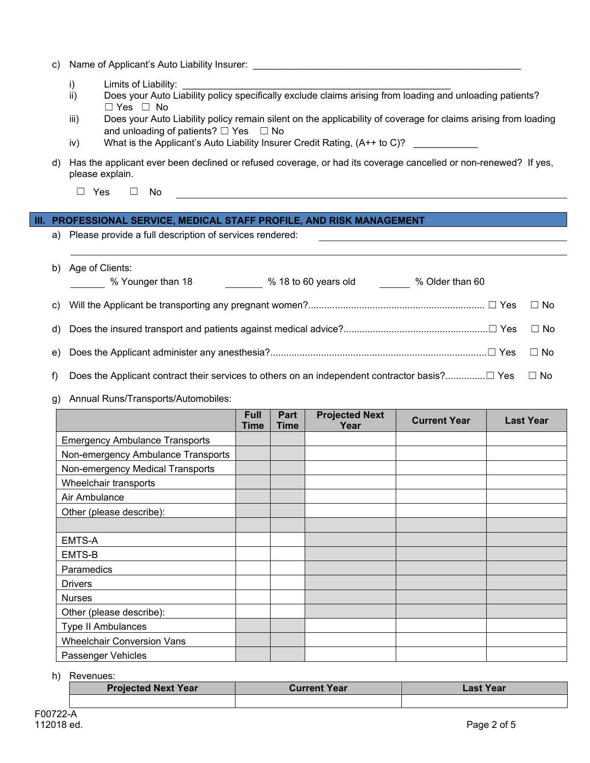|  | c) Name of Applicant's Auto Liability Insurer: |  |
|--|------------------------------------------------|--|
|--|------------------------------------------------|--|

- i) Limits of Liability:<br>ii) Does your Auto Lia
- Does your Auto Liability policy specifically exclude claims arising from loading and unloading patients? ☐ Yes ☐ No
- iii) Does your Auto Liability policy remain silent on the applicability of coverage for claims arising from loading and unloading of patients?  $\Box$  Yes  $\Box$  No
- iv) What is the Applicant's Auto Liability Insurer Credit Rating,  $(A^{++}$  to C)?
- d) Has the applicant ever been declined or refused coverage, or had its coverage cancelled or non-renewed? If yes, please explain.
	- ☐ Yes ☐ No

### **III. PROFESSIONAL SERVICE, MEDICAL STAFF PROFILE, AND RISK MANAGEMENT**

a) Please provide a full description of services rendered:

|       | b) Age of Clients:<br>$%$ 18 to 60 years old $%$ Older than 60<br>% Younger than 18 |           |
|-------|-------------------------------------------------------------------------------------|-----------|
|       |                                                                                     | $\Box$ No |
|       |                                                                                     | $\Box$ No |
|       |                                                                                     | $\Box$ No |
| $f$ ) |                                                                                     |           |

g) Annual Runs/Transports/Automobiles:

|                                       | Full<br><b>Time</b> | Part<br>Time | <b>Projected Next</b><br>Year | <b>Current Year</b> | <b>Last Year</b> |
|---------------------------------------|---------------------|--------------|-------------------------------|---------------------|------------------|
| <b>Emergency Ambulance Transports</b> |                     |              |                               |                     |                  |
| Non-emergency Ambulance Transports    |                     |              |                               |                     |                  |
| Non-emergency Medical Transports      |                     |              |                               |                     |                  |
| Wheelchair transports                 |                     |              |                               |                     |                  |
| Air Ambulance                         |                     |              |                               |                     |                  |
| Other (please describe):              |                     |              |                               |                     |                  |
|                                       |                     |              |                               |                     |                  |
| EMTS-A                                |                     |              |                               |                     |                  |
| EMTS-B                                |                     |              |                               |                     |                  |
| Paramedics                            |                     |              |                               |                     |                  |
| <b>Drivers</b>                        |                     |              |                               |                     |                  |
| <b>Nurses</b>                         |                     |              |                               |                     |                  |
| Other (please describe):              |                     |              |                               |                     |                  |
| Type II Ambulances                    |                     |              |                               |                     |                  |
| <b>Wheelchair Conversion Vans</b>     |                     |              |                               |                     |                  |
| Passenger Vehicles                    |                     |              |                               |                     |                  |

h) Revenues:

| <b>Projected Next Year</b> | <b>Current Year</b> | Last Year |
|----------------------------|---------------------|-----------|
|                            |                     |           |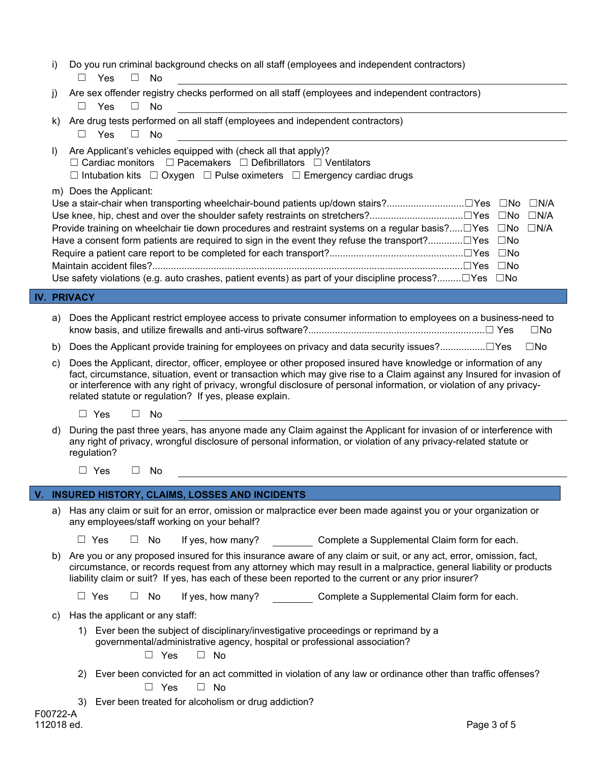i) Do you run criminal background checks on all staff (employees and independent contractors) ☐ Yes ☐ No

|  |            |  | j) Are sex offender registry checks performed on all staff (employees and independent contractors) |
|--|------------|--|----------------------------------------------------------------------------------------------------|
|  | □ Yes □ No |  |                                                                                                    |

- k) Are drug tests performed on all staff (employees and independent contractors) ☐ Yes ☐ No
- l) Are Applicant's vehicles equipped with (check all that apply)? ☐ Cardiac monitors ☐ Pacemakers ☐ Defibrillators ☐ Ventilators ☐ Intubation kits ☐ Oxygen ☐ Pulse oximeters ☐ Emergency cardiac drugs

m) Does the Applicant:

| Use a stair-chair when transporting wheelchair-bound patients up/down stairs?□Yes □No □N/A                                   |  |  |
|------------------------------------------------------------------------------------------------------------------------------|--|--|
|                                                                                                                              |  |  |
| Provide training on wheelchair tie down procedures and restraint systems on a regular basis? $\Box$ Yes $\Box$ No $\Box$ N/A |  |  |
|                                                                                                                              |  |  |
|                                                                                                                              |  |  |
|                                                                                                                              |  |  |
| Use safety violations (e.g. auto crashes, patient events) as part of your discipline process? $\Box$ Yes $\Box$ No           |  |  |

## **IV. PRIVACY**

- a) Does the Applicant restrict employee access to private consumer information to employees on a business-need to know basis, and utilize firewalls and anti-virus software?..................................................................☐ Yes ☐No
- b) Does the Applicant provide training for employees on privacy and data security issues?.................□Yes □No
- c) Does the Applicant, director, officer, employee or other proposed insured have knowledge or information of any fact, circumstance, situation, event or transaction which may give rise to a Claim against any Insured for invasion of or interference with any right of privacy, wrongful disclosure of personal information, or violation of any privacyrelated statute or regulation? If yes, please explain.
	- ☐ Yes ☐ No
- d) During the past three years, has anyone made any Claim against the Applicant for invasion of or interference with any right of privacy, wrongful disclosure of personal information, or violation of any privacy-related statute or regulation?
	- ☐ Yes ☐ No

### **INSURED HISTORY, CLAIMS, LOSSES AND INCIDENTS**

a) Has any claim or suit for an error, omission or malpractice ever been made against you or your organization or any employees/staff working on your behalf?

 $\Box$  Yes  $\Box$  No If yes, how many? Complete a Supplemental Claim form for each.

b) Are you or any proposed insured for this insurance aware of any claim or suit, or any act, error, omission, fact, circumstance, or records request from any attorney which may result in a malpractice, general liability or products liability claim or suit? If yes, has each of these been reported to the current or any prior insurer?

 $\Box$  Yes  $\Box$  No If yes, how many? Complete a Supplemental Claim form for each.

c) Has the applicant or any staff:

1) Ever been the subject of disciplinary/investigative proceedings or reprimand by a governmental/administrative agency, hospital or professional association?

☐ Yes ☐ No

2) Ever been convicted for an act committed in violation of any law or ordinance other than traffic offenses?

☐ Yes ☐ No

3) Ever been treated for alcoholism or drug addiction?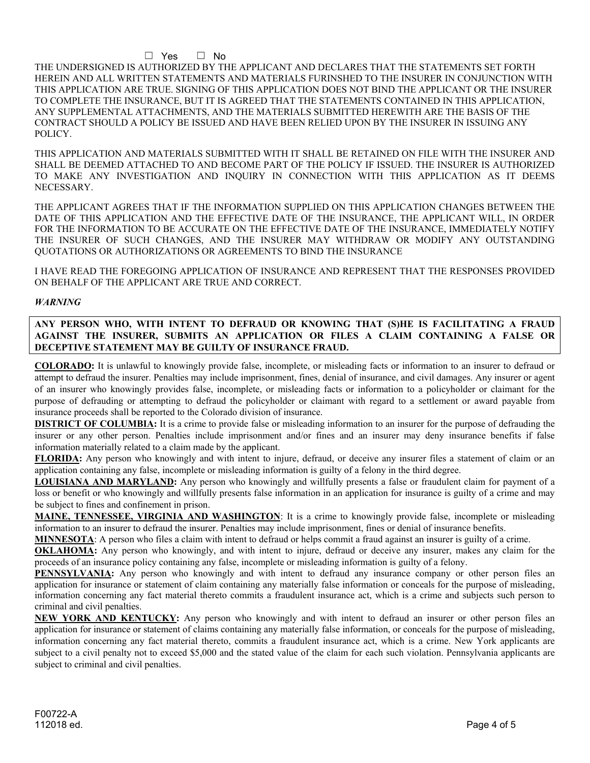### ☐ Yes ☐ No

THE UNDERSIGNED IS AUTHORIZED BY THE APPLICANT AND DECLARES THAT THE STATEMENTS SET FORTH HEREIN AND ALL WRITTEN STATEMENTS AND MATERIALS FURINSHED TO THE INSURER IN CONJUNCTION WITH THIS APPLICATION ARE TRUE. SIGNING OF THIS APPLICATION DOES NOT BIND THE APPLICANT OR THE INSURER TO COMPLETE THE INSURANCE, BUT IT IS AGREED THAT THE STATEMENTS CONTAINED IN THIS APPLICATION, ANY SUPPLEMENTAL ATTACHMENTS, AND THE MATERIALS SUBMITTED HEREWITH ARE THE BASIS OF THE CONTRACT SHOULD A POLICY BE ISSUED AND HAVE BEEN RELIED UPON BY THE INSURER IN ISSUING ANY POLICY.

THIS APPLICATION AND MATERIALS SUBMITTED WITH IT SHALL BE RETAINED ON FILE WITH THE INSURER AND SHALL BE DEEMED ATTACHED TO AND BECOME PART OF THE POLICY IF ISSUED. THE INSURER IS AUTHORIZED TO MAKE ANY INVESTIGATION AND INQUIRY IN CONNECTION WITH THIS APPLICATION AS IT DEEMS NECESSARY.

THE APPLICANT AGREES THAT IF THE INFORMATION SUPPLIED ON THIS APPLICATION CHANGES BETWEEN THE DATE OF THIS APPLICATION AND THE EFFECTIVE DATE OF THE INSURANCE, THE APPLICANT WILL, IN ORDER FOR THE INFORMATION TO BE ACCURATE ON THE EFFECTIVE DATE OF THE INSURANCE, IMMEDIATELY NOTIFY THE INSURER OF SUCH CHANGES, AND THE INSURER MAY WITHDRAW OR MODIFY ANY OUTSTANDING QUOTATIONS OR AUTHORIZATIONS OR AGREEMENTS TO BIND THE INSURANCE

I HAVE READ THE FOREGOING APPLICATION OF INSURANCE AND REPRESENT THAT THE RESPONSES PROVIDED ON BEHALF OF THE APPLICANT ARE TRUE AND CORRECT.

#### *WARNING*

**ANY PERSON WHO, WITH INTENT TO DEFRAUD OR KNOWING THAT (S)HE IS FACILITATING A FRAUD AGAINST THE INSURER, SUBMITS AN APPLICATION OR FILES A CLAIM CONTAINING A FALSE OR DECEPTIVE STATEMENT MAY BE GUILTY OF INSURANCE FRAUD.**

**COLORADO:** It is unlawful to knowingly provide false, incomplete, or misleading facts or information to an insurer to defraud or attempt to defraud the insurer. Penalties may include imprisonment, fines, denial of insurance, and civil damages. Any insurer or agent of an insurer who knowingly provides false, incomplete, or misleading facts or information to a policyholder or claimant for the purpose of defrauding or attempting to defraud the policyholder or claimant with regard to a settlement or award payable from insurance proceeds shall be reported to the Colorado division of insurance.

**DISTRICT OF COLUMBIA:** It is a crime to provide false or misleading information to an insurer for the purpose of defrauding the insurer or any other person. Penalties include imprisonment and/or fines and an insurer may deny insurance benefits if false information materially related to a claim made by the applicant.

**FLORIDA:** Any person who knowingly and with intent to injure, defraud, or deceive any insurer files a statement of claim or an application containing any false, incomplete or misleading information is guilty of a felony in the third degree.

**LOUISIANA AND MARYLAND:** Any person who knowingly and willfully presents a false or fraudulent claim for payment of a loss or benefit or who knowingly and willfully presents false information in an application for insurance is guilty of a crime and may be subject to fines and confinement in prison.

**MAINE, TENNESSEE, VIRGINIA AND WASHINGTON**: It is a crime to knowingly provide false, incomplete or misleading information to an insurer to defraud the insurer. Penalties may include imprisonment, fines or denial of insurance benefits.

**MINNESOTA**: A person who files a claim with intent to defraud or helps commit a fraud against an insurer is guilty of a crime.

**OKLAHOMA:** Any person who knowingly, and with intent to injure, defraud or deceive any insurer, makes any claim for the proceeds of an insurance policy containing any false, incomplete or misleading information is guilty of a felony.

**PENNSYLVANIA:** Any person who knowingly and with intent to defraud any insurance company or other person files an application for insurance or statement of claim containing any materially false information or conceals for the purpose of misleading, information concerning any fact material thereto commits a fraudulent insurance act, which is a crime and subjects such person to criminal and civil penalties.

**NEW YORK AND KENTUCKY:** Any person who knowingly and with intent to defraud an insurer or other person files an application for insurance or statement of claims containing any materially false information, or conceals for the purpose of misleading, information concerning any fact material thereto, commits a fraudulent insurance act, which is a crime. New York applicants are subject to a civil penalty not to exceed \$5,000 and the stated value of the claim for each such violation. Pennsylvania applicants are subject to criminal and civil penalties.